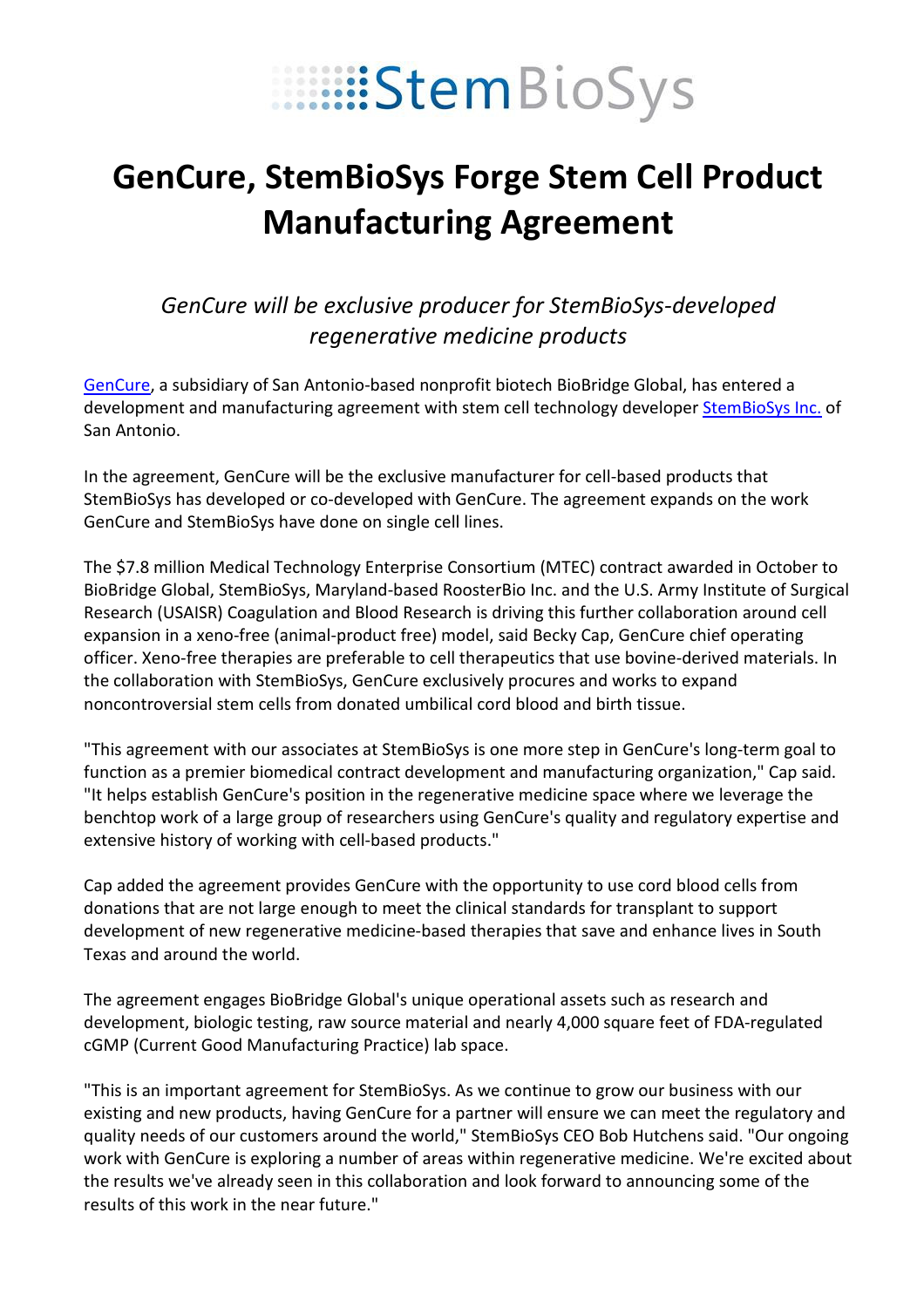## **Example 15** Stem BioSys

## GenCure, StemBioSys Forge Stem Cell Product Manufacturing Agreement

GenCure will be exclusive producer for StemBioSys-developed regenerative medicine products

GenCure, a subsidiary of San Antonio-based nonprofit biotech BioBridge Global, has entered a development and manufacturing agreement with stem cell technology developer StemBioSys Inc. of San Antonio.

In the agreement, GenCure will be the exclusive manufacturer for cell-based products that StemBioSys has developed or co-developed with GenCure. The agreement expands on the work GenCure and StemBioSys have done on single cell lines.

The \$7.8 million Medical Technology Enterprise Consortium (MTEC) contract awarded in October to BioBridge Global, StemBioSys, Maryland-based RoosterBio Inc. and the U.S. Army Institute of Surgical Research (USAISR) Coagulation and Blood Research is driving this further collaboration around cell expansion in a xeno-free (animal-product free) model, said Becky Cap, GenCure chief operating officer. Xeno-free therapies are preferable to cell therapeutics that use bovine-derived materials. In the collaboration with StemBioSys, GenCure exclusively procures and works to expand noncontroversial stem cells from donated umbilical cord blood and birth tissue.

"This agreement with our associates at StemBioSys is one more step in GenCure's long-term goal to function as a premier biomedical contract development and manufacturing organization," Cap said. "It helps establish GenCure's position in the regenerative medicine space where we leverage the benchtop work of a large group of researchers using GenCure's quality and regulatory expertise and extensive history of working with cell-based products."

Cap added the agreement provides GenCure with the opportunity to use cord blood cells from donations that are not large enough to meet the clinical standards for transplant to support development of new regenerative medicine-based therapies that save and enhance lives in South Texas and around the world.

The agreement engages BioBridge Global's unique operational assets such as research and development, biologic testing, raw source material and nearly 4,000 square feet of FDA-regulated cGMP (Current Good Manufacturing Practice) lab space.

"This is an important agreement for StemBioSys. As we continue to grow our business with our existing and new products, having GenCure for a partner will ensure we can meet the regulatory and quality needs of our customers around the world," StemBioSys CEO Bob Hutchens said. "Our ongoing work with GenCure is exploring a number of areas within regenerative medicine. We're excited about the results we've already seen in this collaboration and look forward to announcing some of the results of this work in the near future."